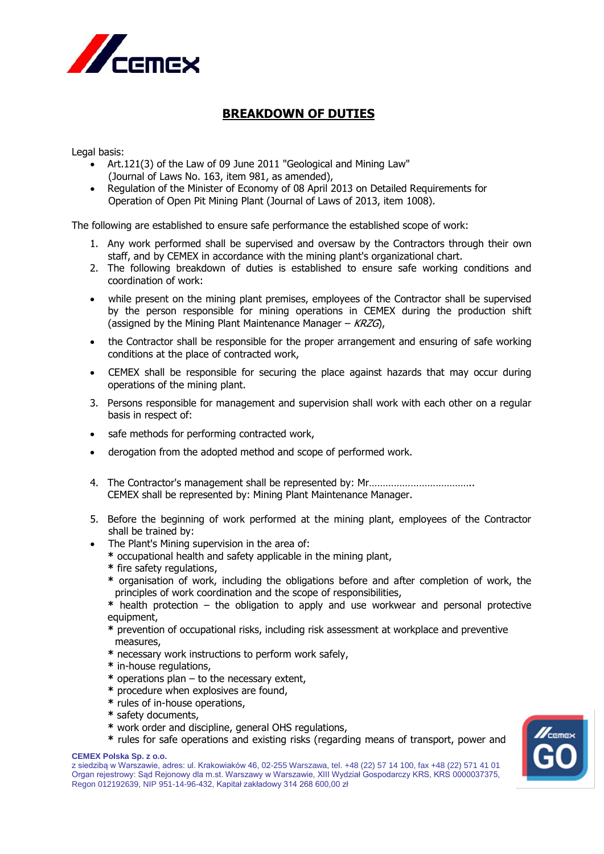

## **BREAKDOWN OF DUTIES**

Legal basis:

- Art.121(3) of the Law of 09 June 2011 "Geological and Mining Law" (Journal of Laws No. 163, item 981, as amended),
- Regulation of the Minister of Economy of 08 April 2013 on Detailed Requirements for Operation of Open Pit Mining Plant (Journal of Laws of 2013, item 1008).

The following are established to ensure safe performance the established scope of work:

- 1. Any work performed shall be supervised and oversaw by the Contractors through their own staff, and by CEMEX in accordance with the mining plant's organizational chart.
- 2. The following breakdown of duties is established to ensure safe working conditions and coordination of work:
- while present on the mining plant premises, employees of the Contractor shall be supervised by the person responsible for mining operations in CEMEX during the production shift (assigned by the Mining Plant Maintenance Manager –  $KRZG$ ),
- the Contractor shall be responsible for the proper arrangement and ensuring of safe working conditions at the place of contracted work,
- CEMEX shall be responsible for securing the place against hazards that may occur during operations of the mining plant.
- 3. Persons responsible for management and supervision shall work with each other on a regular basis in respect of:
- safe methods for performing contracted work,
- derogation from the adopted method and scope of performed work.
- 4. The Contractor's management shall be represented by: Mr……………………………….. CEMEX shall be represented by: Mining Plant Maintenance Manager.
- 5. Before the beginning of work performed at the mining plant, employees of the Contractor shall be trained by:
- The Plant's Mining supervision in the area of:
	- **\*** occupational health and safety applicable in the mining plant,
	- **\*** fire safety regulations,
	- **\*** organisation of work, including the obligations before and after completion of work, the principles of work coordination and the scope of responsibilities,
	- **\*** health protection the obligation to apply and use workwear and personal protective equipment,
	- **\*** prevention of occupational risks, including risk assessment at workplace and preventive measures,
	- **\*** necessary work instructions to perform work safely,
	- **\*** in-house regulations,
	- **\*** operations plan to the necessary extent,
	- **\*** procedure when explosives are found,
	- **\*** rules of in-house operations,
	- **\*** safety documents,
	- **\*** work order and discipline, general OHS regulations,
	- **\*** rules for safe operations and existing risks (regarding means of transport, power and

## **CEMEX Polska Sp. z o.o.**

z siedzibą w Warszawie, adres: ul. Krakowiaków 46, 02-255 Warszawa, tel. +48 (22) 57 14 100, fax +48 (22) 571 41 01 Organ rejestrowy: Sąd Rejonowy dla m.st. Warszawy w Warszawie, XIII Wydział Gospodarczy KRS, KRS 0000037375, Regon 012192639, NIP 951-14-96-432, Kapitał zakładowy 314 268 600,00 zł